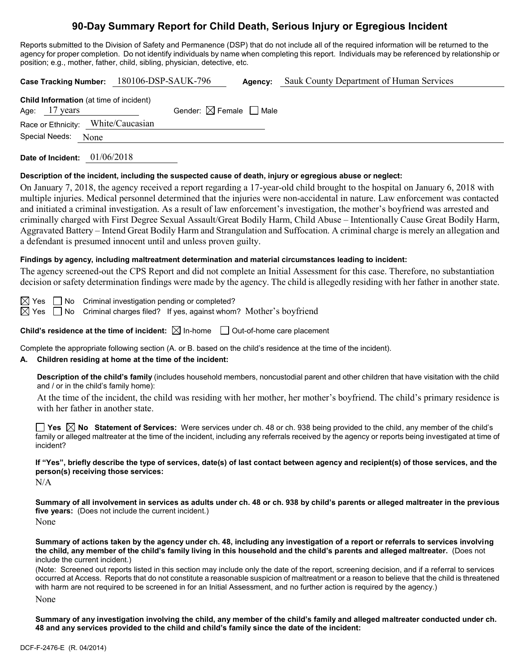## **90-Day Summary Report for Child Death, Serious Injury or Egregious Incident**

Reports submitted to the Division of Safety and Permanence (DSP) that do not include all of the required information will be returned to the agency for proper completion. Do not identify individuals by name when completing this report. Individuals may be referenced by relationship or position; e.g., mother, father, child, sibling, physician, detective, etc.

| 180106-DSP-SAUK-796<br>Sauk County Department of Human Services<br><b>Case Tracking Number:</b><br>Agency:                                                                                                                                                                                                                                                                                                                                                                                                                                                                                                                                                                                                                                                                                                                                             |  |  |  |  |
|--------------------------------------------------------------------------------------------------------------------------------------------------------------------------------------------------------------------------------------------------------------------------------------------------------------------------------------------------------------------------------------------------------------------------------------------------------------------------------------------------------------------------------------------------------------------------------------------------------------------------------------------------------------------------------------------------------------------------------------------------------------------------------------------------------------------------------------------------------|--|--|--|--|
| Child Information (at time of incident)<br>Gender: $\boxtimes$ Female $\Box$ Male<br>17 years<br>Age:<br>White/Caucasian<br>Race or Ethnicity:<br>Special Needs:<br>None                                                                                                                                                                                                                                                                                                                                                                                                                                                                                                                                                                                                                                                                               |  |  |  |  |
| Date of Incident: 01/06/2018                                                                                                                                                                                                                                                                                                                                                                                                                                                                                                                                                                                                                                                                                                                                                                                                                           |  |  |  |  |
| Description of the incident, including the suspected cause of death, injury or egregious abuse or neglect:<br>On January 7, 2018, the agency received a report regarding a 17-year-old child brought to the hospital on January 6, 2018 with<br>multiple injuries. Medical personnel determined that the injuries were non-accidental in nature. Law enforcement was contacted<br>and initiated a criminal investigation. As a result of law enforcement's investigation, the mother's boyfriend was arrested and<br>criminally charged with First Degree Sexual Assault/Great Bodily Harm, Child Abuse - Intentionally Cause Great Bodily Harm,<br>Aggravated Battery - Intend Great Bodily Harm and Strangulation and Suffocation. A criminal charge is merely an allegation and<br>a defendant is presumed innocent until and unless proven guilty. |  |  |  |  |
| Findings by agency, including maltreatment determination and material circumstances leading to incident:<br>The agency screened-out the CPS Report and did not complete an Initial Assessment for this case. Therefore, no substantiation<br>decision or safety determination findings were made by the agency. The child is allegedly residing with her father in another state.                                                                                                                                                                                                                                                                                                                                                                                                                                                                      |  |  |  |  |
| Criminal investigation pending or completed?<br>$\boxtimes$ Yes<br>No<br>$\boxtimes$ Yes<br>Criminal charges filed? If yes, against whom? Mother's boyfriend<br>No                                                                                                                                                                                                                                                                                                                                                                                                                                                                                                                                                                                                                                                                                     |  |  |  |  |
| Child's residence at the time of incident: $\boxtimes$ In-home $\Box$ Out-of-home care placement                                                                                                                                                                                                                                                                                                                                                                                                                                                                                                                                                                                                                                                                                                                                                       |  |  |  |  |
| Complete the appropriate following section (A. or B. based on the child's residence at the time of the incident).<br>Children residing at home at the time of the incident:<br>А.                                                                                                                                                                                                                                                                                                                                                                                                                                                                                                                                                                                                                                                                      |  |  |  |  |
| Description of the child's family (includes household members, noncustodial parent and other children that have visitation with the child<br>and / or in the child's family home):                                                                                                                                                                                                                                                                                                                                                                                                                                                                                                                                                                                                                                                                     |  |  |  |  |
| At the time of the incident, the child was residing with her mother, her mother's boyfriend. The child's primary residence is<br>with her father in another state.                                                                                                                                                                                                                                                                                                                                                                                                                                                                                                                                                                                                                                                                                     |  |  |  |  |
| <b>Yes</b> $\boxtimes$ No Statement of Services: Were services under ch. 48 or ch. 938 being provided to the child, any member of the child's<br>family or alleged maltreater at the time of the incident, including any referrals received by the agency or reports being investigated at time of<br>incident?                                                                                                                                                                                                                                                                                                                                                                                                                                                                                                                                        |  |  |  |  |
| If "Yes", briefly describe the type of services, date(s) of last contact between agency and recipient(s) of those services, and the<br>person(s) receiving those services:<br>N/A                                                                                                                                                                                                                                                                                                                                                                                                                                                                                                                                                                                                                                                                      |  |  |  |  |
| Summary of all involvement in services as adults under ch. 48 or ch. 938 by child's parents or alleged maltreater in the previous<br>five years: (Does not include the current incident.)<br>None                                                                                                                                                                                                                                                                                                                                                                                                                                                                                                                                                                                                                                                      |  |  |  |  |
| Summary of actions taken by the agency under ch. 48, including any investigation of a report or referrals to services involving<br>the child, any member of the child's family living in this household and the child's parents and alleged maltreater. (Does not<br>include the current incident.)                                                                                                                                                                                                                                                                                                                                                                                                                                                                                                                                                    |  |  |  |  |
| (Note: Screened out reports listed in this section may include only the date of the report, screening decision, and if a referral to services<br>occurred at Access. Reports that do not constitute a reasonable suspicion of maltreatment or a reason to believe that the child is threatened                                                                                                                                                                                                                                                                                                                                                                                                                                                                                                                                                         |  |  |  |  |

None **Summary of any investigation involving the child, any member of the child's family and alleged maltreater conducted under ch.** 

with harm are not required to be screened in for an Initial Assessment, and no further action is required by the agency.)